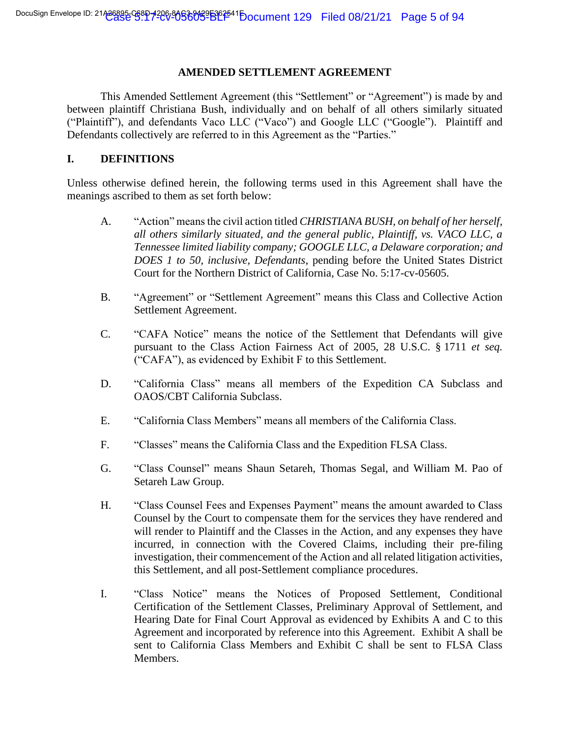#### **AMENDED SETTLEMENT AGREEMENT**

This Amended Settlement Agreement (this "Settlement" or "Agreement") is made by and between plaintiff Christiana Bush, individually and on behalf of all others similarly situated ("Plaintiff"), and defendants Vaco LLC ("Vaco") and Google LLC ("Google"). Plaintiff and Defendants collectively are referred to in this Agreement as the "Parties."

#### **I. DEFINITIONS**

Unless otherwise defined herein, the following terms used in this Agreement shall have the meanings ascribed to them as set forth below:

- A. "Action" means the civil action titled *CHRISTIANA BUSH, on behalf of her herself, all others similarly situated, and the general public, Plaintiff, vs. VACO LLC, a Tennessee limited liability company; GOOGLE LLC, a Delaware corporation; and DOES 1 to 50, inclusive, Defendants*, pending before the United States District Court for the Northern District of California, Case No. 5:17-cv-05605.
- B. "Agreement" or "Settlement Agreement" means this Class and Collective Action Settlement Agreement.
- C. "CAFA Notice" means the notice of the Settlement that Defendants will give pursuant to the Class Action Fairness Act of 2005, 28 U.S.C. § 1711 *et seq.* ("CAFA"), as evidenced by Exhibit F to this Settlement.
- D. "California Class" means all members of the Expedition CA Subclass and OAOS/CBT California Subclass.
- E. "California Class Members" means all members of the California Class.
- F. "Classes" means the California Class and the Expedition FLSA Class.
- G. "Class Counsel" means Shaun Setareh, Thomas Segal, and William M. Pao of Setareh Law Group.
- H. "Class Counsel Fees and Expenses Payment" means the amount awarded to Class Counsel by the Court to compensate them for the services they have rendered and will render to Plaintiff and the Classes in the Action, and any expenses they have incurred, in connection with the Covered Claims, including their pre-filing investigation, their commencement of the Action and all related litigation activities, this Settlement, and all post-Settlement compliance procedures.
- I. "Class Notice" means the Notices of Proposed Settlement, Conditional Certification of the Settlement Classes, Preliminary Approval of Settlement, and Hearing Date for Final Court Approval as evidenced by Exhibits A and C to this Agreement and incorporated by reference into this Agreement. Exhibit A shall be sent to California Class Members and Exhibit C shall be sent to FLSA Class Members.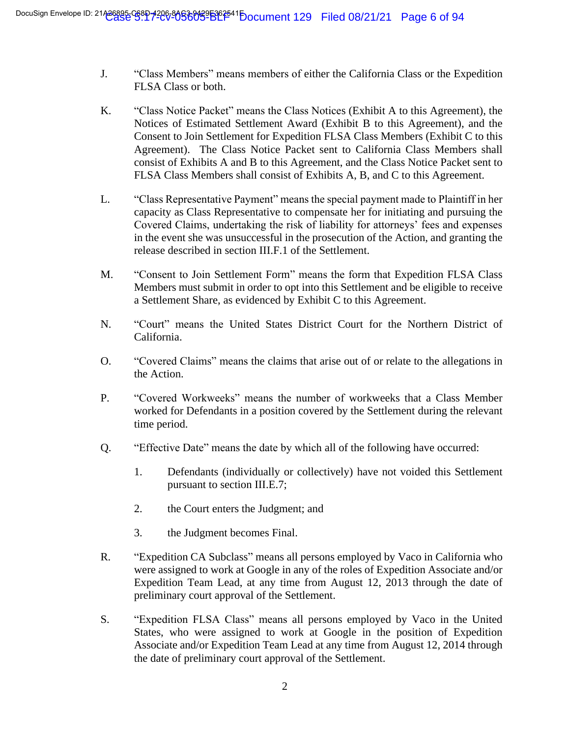- J. "Class Members" means members of either the California Class or the Expedition FLSA Class or both.
- K. "Class Notice Packet" means the Class Notices (Exhibit A to this Agreement), the Notices of Estimated Settlement Award (Exhibit B to this Agreement), and the Consent to Join Settlement for Expedition FLSA Class Members (Exhibit C to this Agreement). The Class Notice Packet sent to California Class Members shall consist of Exhibits A and B to this Agreement, and the Class Notice Packet sent to FLSA Class Members shall consist of Exhibits A, B, and C to this Agreement.
- L. "Class Representative Payment" means the special payment made to Plaintiff in her capacity as Class Representative to compensate her for initiating and pursuing the Covered Claims, undertaking the risk of liability for attorneys' fees and expenses in the event she was unsuccessful in the prosecution of the Action, and granting the release described in section III.F.1 of the Settlement.
- M. "Consent to Join Settlement Form" means the form that Expedition FLSA Class Members must submit in order to opt into this Settlement and be eligible to receive a Settlement Share, as evidenced by Exhibit C to this Agreement.
- N. "Court" means the United States District Court for the Northern District of California.
- O. "Covered Claims" means the claims that arise out of or relate to the allegations in the Action.
- P. "Covered Workweeks" means the number of workweeks that a Class Member worked for Defendants in a position covered by the Settlement during the relevant time period.
- Q. "Effective Date" means the date by which all of the following have occurred:
	- 1. Defendants (individually or collectively) have not voided this Settlement pursuant to section III.E.7;
	- 2. the Court enters the Judgment; and
	- 3. the Judgment becomes Final.
- R. "Expedition CA Subclass" means all persons employed by Vaco in California who were assigned to work at Google in any of the roles of Expedition Associate and/or Expedition Team Lead, at any time from August 12, 2013 through the date of preliminary court approval of the Settlement.
- S. "Expedition FLSA Class" means all persons employed by Vaco in the United States, who were assigned to work at Google in the position of Expedition Associate and/or Expedition Team Lead at any time from August 12, 2014 through the date of preliminary court approval of the Settlement.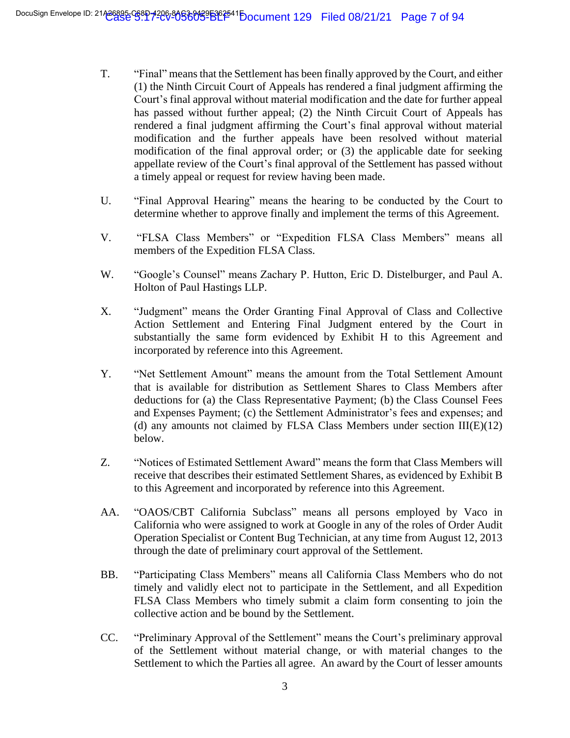- T. "Final" means that the Settlement has been finally approved by the Court, and either (1) the Ninth Circuit Court of Appeals has rendered a final judgment affirming the Court's final approval without material modification and the date for further appeal has passed without further appeal; (2) the Ninth Circuit Court of Appeals has rendered a final judgment affirming the Court's final approval without material modification and the further appeals have been resolved without material modification of the final approval order; or (3) the applicable date for seeking appellate review of the Court's final approval of the Settlement has passed without a timely appeal or request for review having been made.
- U. "Final Approval Hearing" means the hearing to be conducted by the Court to determine whether to approve finally and implement the terms of this Agreement.
- V. "FLSA Class Members" or "Expedition FLSA Class Members" means all members of the Expedition FLSA Class.
- W. "Google's Counsel" means Zachary P. Hutton, Eric D. Distelburger, and Paul A. Holton of Paul Hastings LLP.
- X. "Judgment" means the Order Granting Final Approval of Class and Collective Action Settlement and Entering Final Judgment entered by the Court in substantially the same form evidenced by Exhibit H to this Agreement and incorporated by reference into this Agreement.
- Y. "Net Settlement Amount" means the amount from the Total Settlement Amount that is available for distribution as Settlement Shares to Class Members after deductions for (a) the Class Representative Payment; (b) the Class Counsel Fees and Expenses Payment; (c) the Settlement Administrator's fees and expenses; and (d) any amounts not claimed by FLSA Class Members under section  $III(E)(12)$ below.
- Z. "Notices of Estimated Settlement Award" means the form that Class Members will receive that describes their estimated Settlement Shares, as evidenced by Exhibit B to this Agreement and incorporated by reference into this Agreement.
- AA. "OAOS/CBT California Subclass" means all persons employed by Vaco in California who were assigned to work at Google in any of the roles of Order Audit Operation Specialist or Content Bug Technician, at any time from August 12, 2013 through the date of preliminary court approval of the Settlement.
- BB. "Participating Class Members" means all California Class Members who do not timely and validly elect not to participate in the Settlement, and all Expedition FLSA Class Members who timely submit a claim form consenting to join the collective action and be bound by the Settlement.
- CC. "Preliminary Approval of the Settlement" means the Court's preliminary approval of the Settlement without material change, or with material changes to the Settlement to which the Parties all agree. An award by the Court of lesser amounts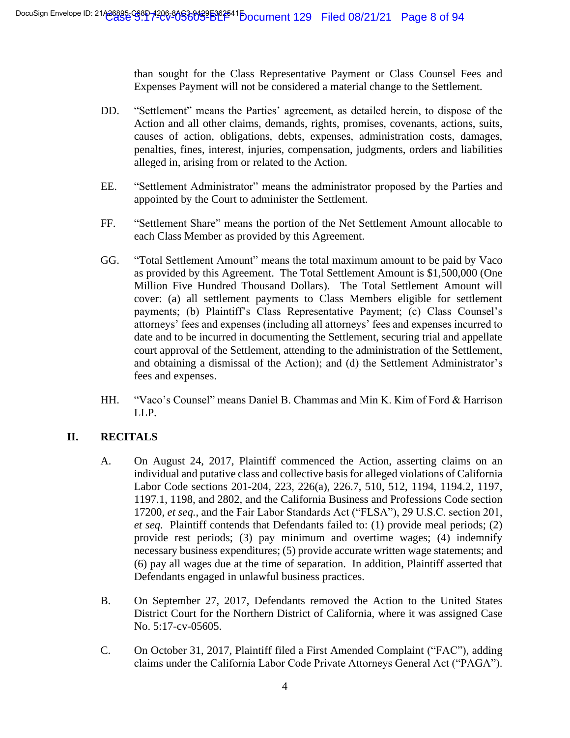than sought for the Class Representative Payment or Class Counsel Fees and Expenses Payment will not be considered a material change to the Settlement.

- DD. "Settlement" means the Parties' agreement, as detailed herein, to dispose of the Action and all other claims, demands, rights, promises, covenants, actions, suits, causes of action, obligations, debts, expenses, administration costs, damages, penalties, fines, interest, injuries, compensation, judgments, orders and liabilities alleged in, arising from or related to the Action.
- EE. "Settlement Administrator" means the administrator proposed by the Parties and appointed by the Court to administer the Settlement.
- FF. "Settlement Share" means the portion of the Net Settlement Amount allocable to each Class Member as provided by this Agreement.
- GG. "Total Settlement Amount" means the total maximum amount to be paid by Vaco as provided by this Agreement. The Total Settlement Amount is \$1,500,000 (One Million Five Hundred Thousand Dollars). The Total Settlement Amount will cover: (a) all settlement payments to Class Members eligible for settlement payments; (b) Plaintiff's Class Representative Payment; (c) Class Counsel's attorneys' fees and expenses (including all attorneys' fees and expenses incurred to date and to be incurred in documenting the Settlement, securing trial and appellate court approval of the Settlement, attending to the administration of the Settlement, and obtaining a dismissal of the Action); and (d) the Settlement Administrator's fees and expenses.
- HH. "Vaco's Counsel" means Daniel B. Chammas and Min K. Kim of Ford & Harrison LLP.

# **II. RECITALS**

- A. On August 24, 2017, Plaintiff commenced the Action, asserting claims on an individual and putative class and collective basis for alleged violations of California Labor Code sections 201-204, 223, 226(a), 226.7, 510, 512, 1194, 1194.2, 1197, 1197.1, 1198, and 2802, and the California Business and Professions Code section 17200, *et seq.*, and the Fair Labor Standards Act ("FLSA"), 29 U.S.C. section 201, *et seq.* Plaintiff contends that Defendants failed to: (1) provide meal periods; (2) provide rest periods; (3) pay minimum and overtime wages; (4) indemnify necessary business expenditures; (5) provide accurate written wage statements; and (6) pay all wages due at the time of separation. In addition, Plaintiff asserted that Defendants engaged in unlawful business practices.
- B. On September 27, 2017, Defendants removed the Action to the United States District Court for the Northern District of California, where it was assigned Case No. 5:17-cv-05605.
- C. On October 31, 2017, Plaintiff filed a First Amended Complaint ("FAC"), adding claims under the California Labor Code Private Attorneys General Act ("PAGA").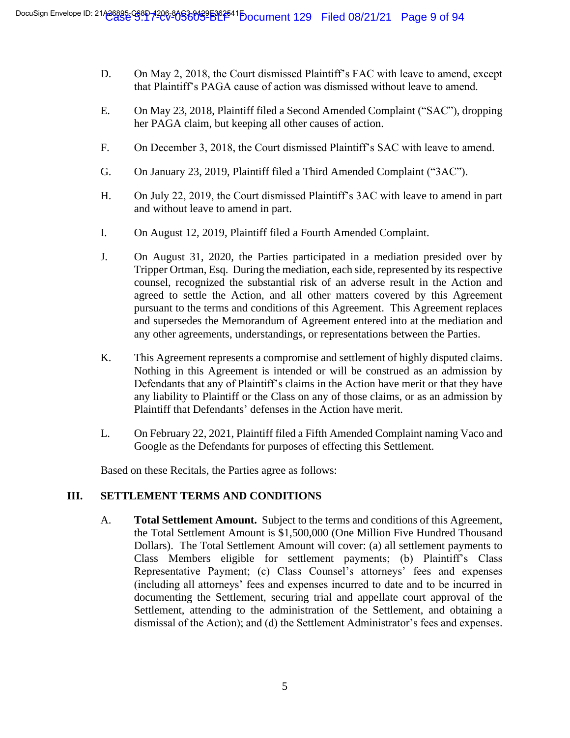- D. On May 2, 2018, the Court dismissed Plaintiff's FAC with leave to amend, except that Plaintiff's PAGA cause of action was dismissed without leave to amend.
- E. On May 23, 2018, Plaintiff filed a Second Amended Complaint ("SAC"), dropping her PAGA claim, but keeping all other causes of action.
- F. On December 3, 2018, the Court dismissed Plaintiff's SAC with leave to amend.
- G. On January 23, 2019, Plaintiff filed a Third Amended Complaint ("3AC").
- H. On July 22, 2019, the Court dismissed Plaintiff's 3AC with leave to amend in part and without leave to amend in part.
- I. On August 12, 2019, Plaintiff filed a Fourth Amended Complaint.
- J. On August 31, 2020, the Parties participated in a mediation presided over by Tripper Ortman, Esq. During the mediation, each side, represented by its respective counsel, recognized the substantial risk of an adverse result in the Action and agreed to settle the Action, and all other matters covered by this Agreement pursuant to the terms and conditions of this Agreement. This Agreement replaces and supersedes the Memorandum of Agreement entered into at the mediation and any other agreements, understandings, or representations between the Parties.
- K. This Agreement represents a compromise and settlement of highly disputed claims. Nothing in this Agreement is intended or will be construed as an admission by Defendants that any of Plaintiff's claims in the Action have merit or that they have any liability to Plaintiff or the Class on any of those claims, or as an admission by Plaintiff that Defendants' defenses in the Action have merit.
- L. On February 22, 2021, Plaintiff filed a Fifth Amended Complaint naming Vaco and Google as the Defendants for purposes of effecting this Settlement.

Based on these Recitals, the Parties agree as follows:

#### **III. SETTLEMENT TERMS AND CONDITIONS**

A. **Total Settlement Amount.** Subject to the terms and conditions of this Agreement, the Total Settlement Amount is \$1,500,000 (One Million Five Hundred Thousand Dollars). The Total Settlement Amount will cover: (a) all settlement payments to Class Members eligible for settlement payments; (b) Plaintiff's Class Representative Payment; (c) Class Counsel's attorneys' fees and expenses (including all attorneys' fees and expenses incurred to date and to be incurred in documenting the Settlement, securing trial and appellate court approval of the Settlement, attending to the administration of the Settlement, and obtaining a dismissal of the Action); and (d) the Settlement Administrator's fees and expenses.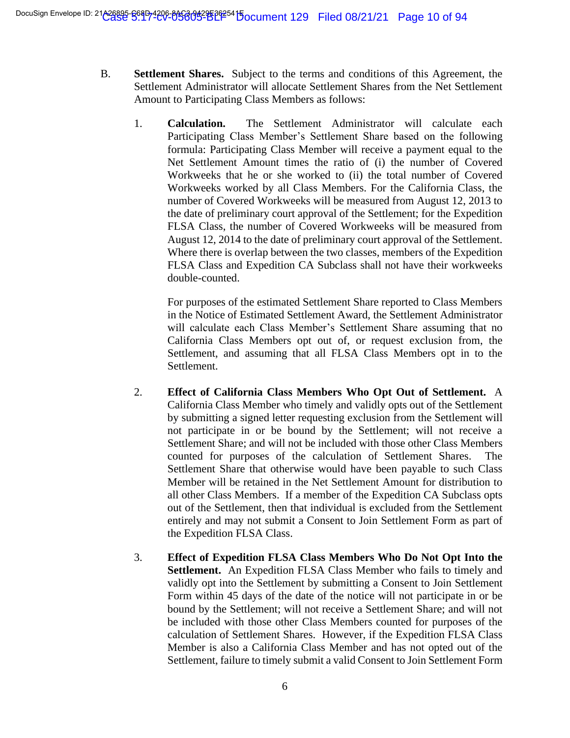- B. **Settlement Shares.** Subject to the terms and conditions of this Agreement, the Settlement Administrator will allocate Settlement Shares from the Net Settlement Amount to Participating Class Members as follows:
	- 1. **Calculation.** The Settlement Administrator will calculate each Participating Class Member's Settlement Share based on the following formula: Participating Class Member will receive a payment equal to the Net Settlement Amount times the ratio of (i) the number of Covered Workweeks that he or she worked to (ii) the total number of Covered Workweeks worked by all Class Members. For the California Class, the number of Covered Workweeks will be measured from August 12, 2013 to the date of preliminary court approval of the Settlement; for the Expedition FLSA Class, the number of Covered Workweeks will be measured from August 12, 2014 to the date of preliminary court approval of the Settlement. Where there is overlap between the two classes, members of the Expedition FLSA Class and Expedition CA Subclass shall not have their workweeks double-counted.

For purposes of the estimated Settlement Share reported to Class Members in the Notice of Estimated Settlement Award, the Settlement Administrator will calculate each Class Member's Settlement Share assuming that no California Class Members opt out of, or request exclusion from, the Settlement, and assuming that all FLSA Class Members opt in to the Settlement.

- 2. **Effect of California Class Members Who Opt Out of Settlement.** A California Class Member who timely and validly opts out of the Settlement by submitting a signed letter requesting exclusion from the Settlement will not participate in or be bound by the Settlement; will not receive a Settlement Share; and will not be included with those other Class Members counted for purposes of the calculation of Settlement Shares. The Settlement Share that otherwise would have been payable to such Class Member will be retained in the Net Settlement Amount for distribution to all other Class Members. If a member of the Expedition CA Subclass opts out of the Settlement, then that individual is excluded from the Settlement entirely and may not submit a Consent to Join Settlement Form as part of the Expedition FLSA Class.
- 3. **Effect of Expedition FLSA Class Members Who Do Not Opt Into the Settlement.** An Expedition FLSA Class Member who fails to timely and validly opt into the Settlement by submitting a Consent to Join Settlement Form within 45 days of the date of the notice will not participate in or be bound by the Settlement; will not receive a Settlement Share; and will not be included with those other Class Members counted for purposes of the calculation of Settlement Shares. However, if the Expedition FLSA Class Member is also a California Class Member and has not opted out of the Settlement, failure to timely submit a valid Consent to Join Settlement Form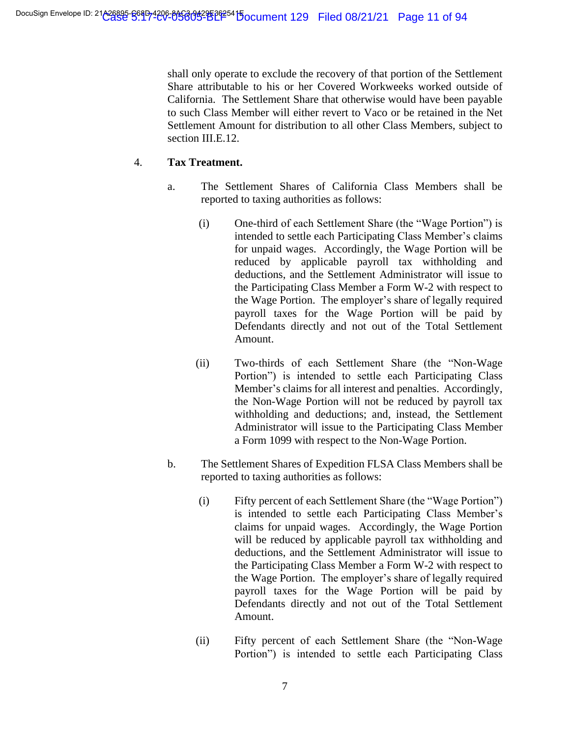shall only operate to exclude the recovery of that portion of the Settlement Share attributable to his or her Covered Workweeks worked outside of California. The Settlement Share that otherwise would have been payable to such Class Member will either revert to Vaco or be retained in the Net Settlement Amount for distribution to all other Class Members, subject to section III.E.12.

# 4. **Tax Treatment.**

- a. The Settlement Shares of California Class Members shall be reported to taxing authorities as follows:
	- (i) One-third of each Settlement Share (the "Wage Portion") is intended to settle each Participating Class Member's claims for unpaid wages. Accordingly, the Wage Portion will be reduced by applicable payroll tax withholding and deductions, and the Settlement Administrator will issue to the Participating Class Member a Form W-2 with respect to the Wage Portion. The employer's share of legally required payroll taxes for the Wage Portion will be paid by Defendants directly and not out of the Total Settlement Amount.
	- (ii) Two-thirds of each Settlement Share (the "Non-Wage Portion") is intended to settle each Participating Class Member's claims for all interest and penalties. Accordingly, the Non-Wage Portion will not be reduced by payroll tax withholding and deductions; and, instead, the Settlement Administrator will issue to the Participating Class Member a Form 1099 with respect to the Non-Wage Portion.
- b. The Settlement Shares of Expedition FLSA Class Members shall be reported to taxing authorities as follows:
	- (i) Fifty percent of each Settlement Share (the "Wage Portion") is intended to settle each Participating Class Member's claims for unpaid wages. Accordingly, the Wage Portion will be reduced by applicable payroll tax withholding and deductions, and the Settlement Administrator will issue to the Participating Class Member a Form W-2 with respect to the Wage Portion. The employer's share of legally required payroll taxes for the Wage Portion will be paid by Defendants directly and not out of the Total Settlement Amount.
	- (ii) Fifty percent of each Settlement Share (the "Non-Wage Portion") is intended to settle each Participating Class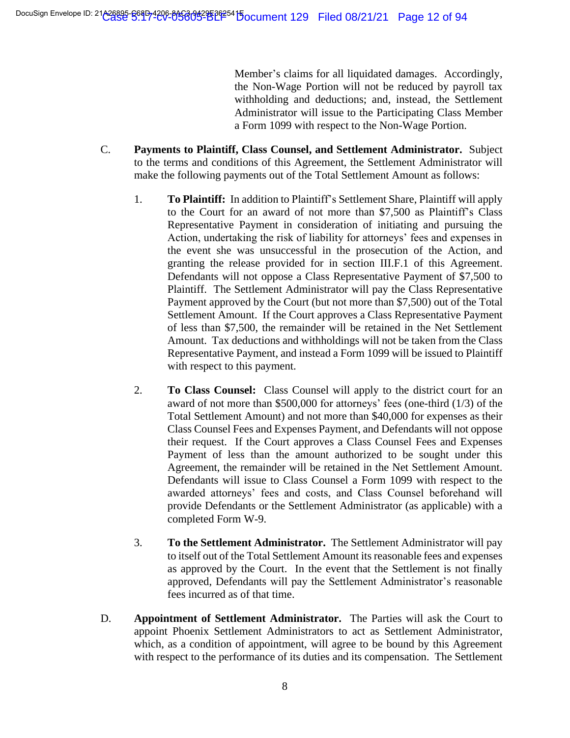Member's claims for all liquidated damages. Accordingly, the Non-Wage Portion will not be reduced by payroll tax withholding and deductions; and, instead, the Settlement Administrator will issue to the Participating Class Member a Form 1099 with respect to the Non-Wage Portion.

- C. **Payments to Plaintiff, Class Counsel, and Settlement Administrator.** Subject to the terms and conditions of this Agreement, the Settlement Administrator will make the following payments out of the Total Settlement Amount as follows:
	- 1. **To Plaintiff:** In addition to Plaintiff's Settlement Share, Plaintiff will apply to the Court for an award of not more than \$7,500 as Plaintiff's Class Representative Payment in consideration of initiating and pursuing the Action, undertaking the risk of liability for attorneys' fees and expenses in the event she was unsuccessful in the prosecution of the Action, and granting the release provided for in section III.F.1 of this Agreement. Defendants will not oppose a Class Representative Payment of \$7,500 to Plaintiff. The Settlement Administrator will pay the Class Representative Payment approved by the Court (but not more than \$7,500) out of the Total Settlement Amount. If the Court approves a Class Representative Payment of less than \$7,500, the remainder will be retained in the Net Settlement Amount. Tax deductions and withholdings will not be taken from the Class Representative Payment, and instead a Form 1099 will be issued to Plaintiff with respect to this payment.
	- 2. **To Class Counsel:** Class Counsel will apply to the district court for an award of not more than \$500,000 for attorneys' fees (one-third (1/3) of the Total Settlement Amount) and not more than \$40,000 for expenses as their Class Counsel Fees and Expenses Payment, and Defendants will not oppose their request. If the Court approves a Class Counsel Fees and Expenses Payment of less than the amount authorized to be sought under this Agreement, the remainder will be retained in the Net Settlement Amount. Defendants will issue to Class Counsel a Form 1099 with respect to the awarded attorneys' fees and costs, and Class Counsel beforehand will provide Defendants or the Settlement Administrator (as applicable) with a completed Form W-9.
	- 3. **To the Settlement Administrator.** The Settlement Administrator will pay to itself out of the Total Settlement Amount its reasonable fees and expenses as approved by the Court. In the event that the Settlement is not finally approved, Defendants will pay the Settlement Administrator's reasonable fees incurred as of that time.
- D. **Appointment of Settlement Administrator.** The Parties will ask the Court to appoint Phoenix Settlement Administrators to act as Settlement Administrator, which, as a condition of appointment, will agree to be bound by this Agreement with respect to the performance of its duties and its compensation. The Settlement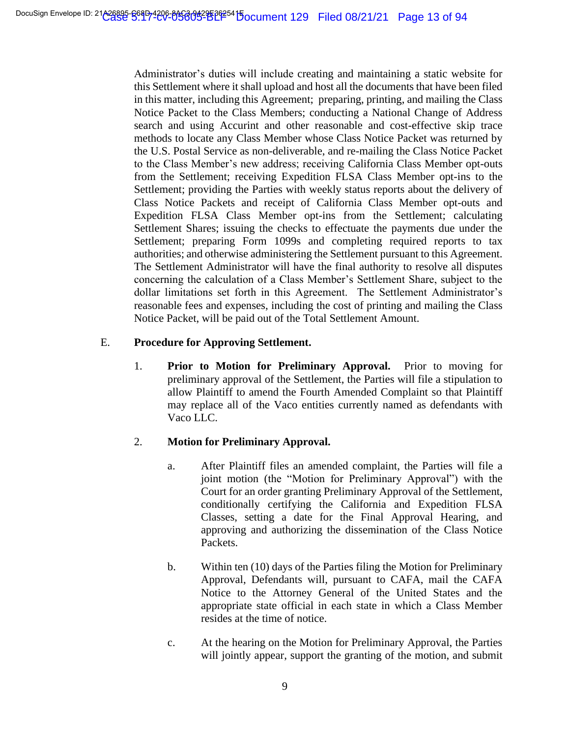Administrator's duties will include creating and maintaining a static website for this Settlement where it shall upload and host all the documents that have been filed in this matter, including this Agreement; preparing, printing, and mailing the Class Notice Packet to the Class Members; conducting a National Change of Address search and using Accurint and other reasonable and cost-effective skip trace methods to locate any Class Member whose Class Notice Packet was returned by the U.S. Postal Service as non-deliverable, and re-mailing the Class Notice Packet to the Class Member's new address; receiving California Class Member opt-outs from the Settlement; receiving Expedition FLSA Class Member opt-ins to the Settlement; providing the Parties with weekly status reports about the delivery of Class Notice Packets and receipt of California Class Member opt-outs and Expedition FLSA Class Member opt-ins from the Settlement; calculating Settlement Shares; issuing the checks to effectuate the payments due under the Settlement; preparing Form 1099s and completing required reports to tax authorities; and otherwise administering the Settlement pursuant to this Agreement. The Settlement Administrator will have the final authority to resolve all disputes concerning the calculation of a Class Member's Settlement Share, subject to the dollar limitations set forth in this Agreement. The Settlement Administrator's reasonable fees and expenses, including the cost of printing and mailing the Class Notice Packet, will be paid out of the Total Settlement Amount.

# E. **Procedure for Approving Settlement.**

1. **Prior to Motion for Preliminary Approval.** Prior to moving for preliminary approval of the Settlement, the Parties will file a stipulation to allow Plaintiff to amend the Fourth Amended Complaint so that Plaintiff may replace all of the Vaco entities currently named as defendants with Vaco LLC.

# 2. **Motion for Preliminary Approval.**

- a. After Plaintiff files an amended complaint, the Parties will file a joint motion (the "Motion for Preliminary Approval") with the Court for an order granting Preliminary Approval of the Settlement, conditionally certifying the California and Expedition FLSA Classes, setting a date for the Final Approval Hearing, and approving and authorizing the dissemination of the Class Notice Packets.
- b. Within ten (10) days of the Parties filing the Motion for Preliminary Approval, Defendants will, pursuant to CAFA, mail the CAFA Notice to the Attorney General of the United States and the appropriate state official in each state in which a Class Member resides at the time of notice.
- c. At the hearing on the Motion for Preliminary Approval, the Parties will jointly appear, support the granting of the motion, and submit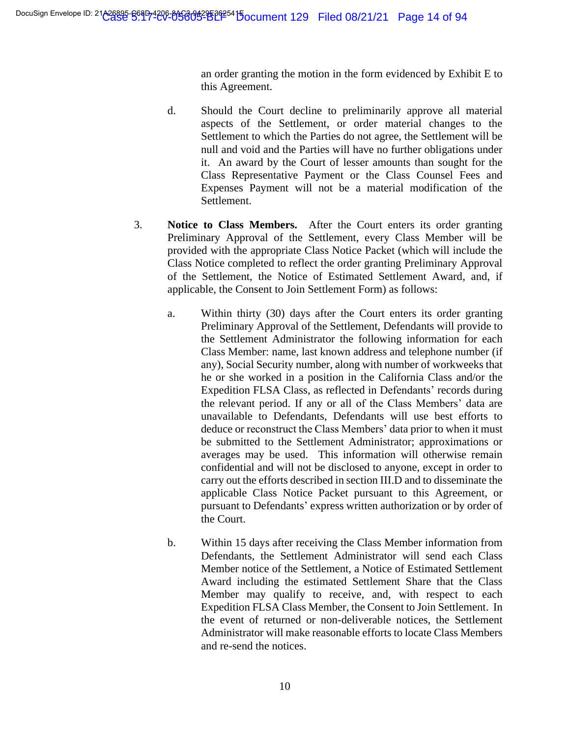an order granting the motion in the form evidenced by Exhibit E to this Agreement.

- d. Should the Court decline to preliminarily approve all material aspects of the Settlement, or order material changes to the Settlement to which the Parties do not agree, the Settlement will be null and void and the Parties will have no further obligations under it. An award by the Court of lesser amounts than sought for the Class Representative Payment or the Class Counsel Fees and Expenses Payment will not be a material modification of the Settlement.
- 3. **Notice to Class Members.** After the Court enters its order granting Preliminary Approval of the Settlement, every Class Member will be provided with the appropriate Class Notice Packet (which will include the Class Notice completed to reflect the order granting Preliminary Approval of the Settlement, the Notice of Estimated Settlement Award, and, if applicable, the Consent to Join Settlement Form) as follows:
	- a. Within thirty (30) days after the Court enters its order granting Preliminary Approval of the Settlement, Defendants will provide to the Settlement Administrator the following information for each Class Member: name, last known address and telephone number (if any), Social Security number, along with number of workweeks that he or she worked in a position in the California Class and/or the Expedition FLSA Class, as reflected in Defendants' records during the relevant period. If any or all of the Class Members' data are unavailable to Defendants, Defendants will use best efforts to deduce or reconstruct the Class Members' data prior to when it must be submitted to the Settlement Administrator; approximations or averages may be used. This information will otherwise remain confidential and will not be disclosed to anyone, except in order to carry out the efforts described in section III.D and to disseminate the applicable Class Notice Packet pursuant to this Agreement, or pursuant to Defendants' express written authorization or by order of the Court.
	- b. Within 15 days after receiving the Class Member information from Defendants, the Settlement Administrator will send each Class Member notice of the Settlement, a Notice of Estimated Settlement Award including the estimated Settlement Share that the Class Member may qualify to receive, and, with respect to each Expedition FLSA Class Member, the Consent to Join Settlement. In the event of returned or non-deliverable notices, the Settlement Administrator will make reasonable efforts to locate Class Members and re-send the notices.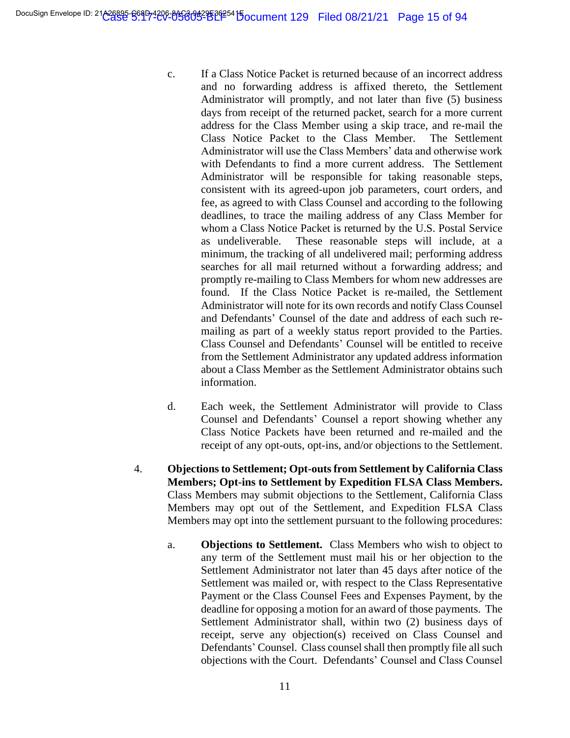- c. If a Class Notice Packet is returned because of an incorrect address and no forwarding address is affixed thereto, the Settlement Administrator will promptly, and not later than five (5) business days from receipt of the returned packet, search for a more current address for the Class Member using a skip trace, and re-mail the Class Notice Packet to the Class Member. The Settlement Administrator will use the Class Members' data and otherwise work with Defendants to find a more current address. The Settlement Administrator will be responsible for taking reasonable steps, consistent with its agreed-upon job parameters, court orders, and fee, as agreed to with Class Counsel and according to the following deadlines, to trace the mailing address of any Class Member for whom a Class Notice Packet is returned by the U.S. Postal Service as undeliverable. These reasonable steps will include, at a minimum, the tracking of all undelivered mail; performing address searches for all mail returned without a forwarding address; and promptly re-mailing to Class Members for whom new addresses are found.If the Class Notice Packet is re-mailed, the Settlement Administrator will note for its own records and notify Class Counsel and Defendants' Counsel of the date and address of each such remailing as part of a weekly status report provided to the Parties. Class Counsel and Defendants' Counsel will be entitled to receive from the Settlement Administrator any updated address information about a Class Member as the Settlement Administrator obtains such information.
- d. Each week, the Settlement Administrator will provide to Class Counsel and Defendants' Counsel a report showing whether any Class Notice Packets have been returned and re-mailed and the receipt of any opt-outs, opt-ins, and/or objections to the Settlement.
- 4. **Objections to Settlement; Opt-outs from Settlement by California Class Members; Opt-ins to Settlement by Expedition FLSA Class Members.**  Class Members may submit objections to the Settlement, California Class Members may opt out of the Settlement, and Expedition FLSA Class Members may opt into the settlement pursuant to the following procedures:
	- a. **Objections to Settlement.** Class Members who wish to object to any term of the Settlement must mail his or her objection to the Settlement Administrator not later than 45 days after notice of the Settlement was mailed or, with respect to the Class Representative Payment or the Class Counsel Fees and Expenses Payment, by the deadline for opposing a motion for an award of those payments. The Settlement Administrator shall, within two (2) business days of receipt, serve any objection(s) received on Class Counsel and Defendants' Counsel. Class counsel shall then promptly file all such objections with the Court. Defendants' Counsel and Class Counsel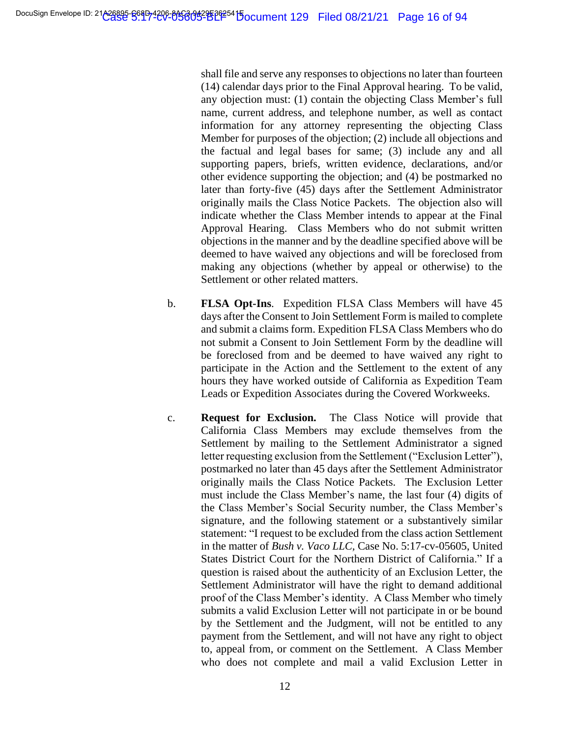shall file and serve any responses to objections no later than fourteen (14) calendar days prior to the Final Approval hearing. To be valid, any objection must: (1) contain the objecting Class Member's full name, current address, and telephone number, as well as contact information for any attorney representing the objecting Class Member for purposes of the objection; (2) include all objections and the factual and legal bases for same; (3) include any and all supporting papers, briefs, written evidence, declarations, and/or other evidence supporting the objection; and (4) be postmarked no later than forty-five (45) days after the Settlement Administrator originally mails the Class Notice Packets. The objection also will indicate whether the Class Member intends to appear at the Final Approval Hearing. Class Members who do not submit written objections in the manner and by the deadline specified above will be deemed to have waived any objections and will be foreclosed from making any objections (whether by appeal or otherwise) to the Settlement or other related matters.

- b. **FLSA Opt-Ins**. Expedition FLSA Class Members will have 45 days after the Consent to Join Settlement Form is mailed to complete and submit a claims form. Expedition FLSA Class Members who do not submit a Consent to Join Settlement Form by the deadline will be foreclosed from and be deemed to have waived any right to participate in the Action and the Settlement to the extent of any hours they have worked outside of California as Expedition Team Leads or Expedition Associates during the Covered Workweeks.
- c. **Request for Exclusion.** The Class Notice will provide that California Class Members may exclude themselves from the Settlement by mailing to the Settlement Administrator a signed letter requesting exclusion from the Settlement ("Exclusion Letter"), postmarked no later than 45 days after the Settlement Administrator originally mails the Class Notice Packets. The Exclusion Letter must include the Class Member's name, the last four (4) digits of the Class Member's Social Security number, the Class Member's signature, and the following statement or a substantively similar statement: "I request to be excluded from the class action Settlement in the matter of *Bush v. Vaco LLC,* Case No. 5:17-cv-05605, United States District Court for the Northern District of California." If a question is raised about the authenticity of an Exclusion Letter, the Settlement Administrator will have the right to demand additional proof of the Class Member's identity. A Class Member who timely submits a valid Exclusion Letter will not participate in or be bound by the Settlement and the Judgment, will not be entitled to any payment from the Settlement, and will not have any right to object to, appeal from, or comment on the Settlement. A Class Member who does not complete and mail a valid Exclusion Letter in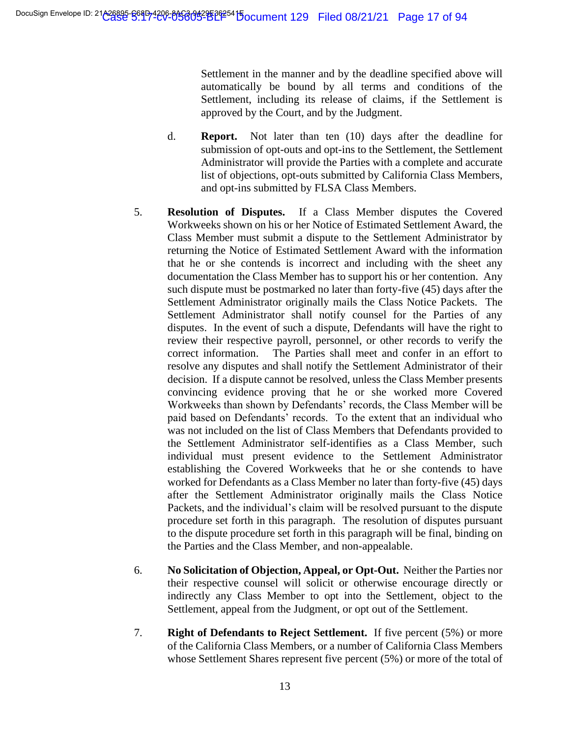Settlement in the manner and by the deadline specified above will automatically be bound by all terms and conditions of the Settlement, including its release of claims, if the Settlement is approved by the Court, and by the Judgment.

- d. **Report.** Not later than ten (10) days after the deadline for submission of opt-outs and opt-ins to the Settlement, the Settlement Administrator will provide the Parties with a complete and accurate list of objections, opt-outs submitted by California Class Members, and opt-ins submitted by FLSA Class Members.
- 5. **Resolution of Disputes.** If a Class Member disputes the Covered Workweeks shown on his or her Notice of Estimated Settlement Award, the Class Member must submit a dispute to the Settlement Administrator by returning the Notice of Estimated Settlement Award with the information that he or she contends is incorrect and including with the sheet any documentation the Class Member has to support his or her contention. Any such dispute must be postmarked no later than forty-five (45) days after the Settlement Administrator originally mails the Class Notice Packets. The Settlement Administrator shall notify counsel for the Parties of any disputes. In the event of such a dispute, Defendants will have the right to review their respective payroll, personnel, or other records to verify the correct information. The Parties shall meet and confer in an effort to resolve any disputes and shall notify the Settlement Administrator of their decision. If a dispute cannot be resolved, unless the Class Member presents convincing evidence proving that he or she worked more Covered Workweeks than shown by Defendants' records, the Class Member will be paid based on Defendants' records. To the extent that an individual who was not included on the list of Class Members that Defendants provided to the Settlement Administrator self-identifies as a Class Member, such individual must present evidence to the Settlement Administrator establishing the Covered Workweeks that he or she contends to have worked for Defendants as a Class Member no later than forty-five (45) days after the Settlement Administrator originally mails the Class Notice Packets, and the individual's claim will be resolved pursuant to the dispute procedure set forth in this paragraph. The resolution of disputes pursuant to the dispute procedure set forth in this paragraph will be final, binding on the Parties and the Class Member, and non-appealable.
- 6. **No Solicitation of Objection, Appeal, or Opt-Out.** Neither the Parties nor their respective counsel will solicit or otherwise encourage directly or indirectly any Class Member to opt into the Settlement, object to the Settlement, appeal from the Judgment, or opt out of the Settlement.
- 7. **Right of Defendants to Reject Settlement.** If five percent (5%) or more of the California Class Members, or a number of California Class Members whose Settlement Shares represent five percent (5%) or more of the total of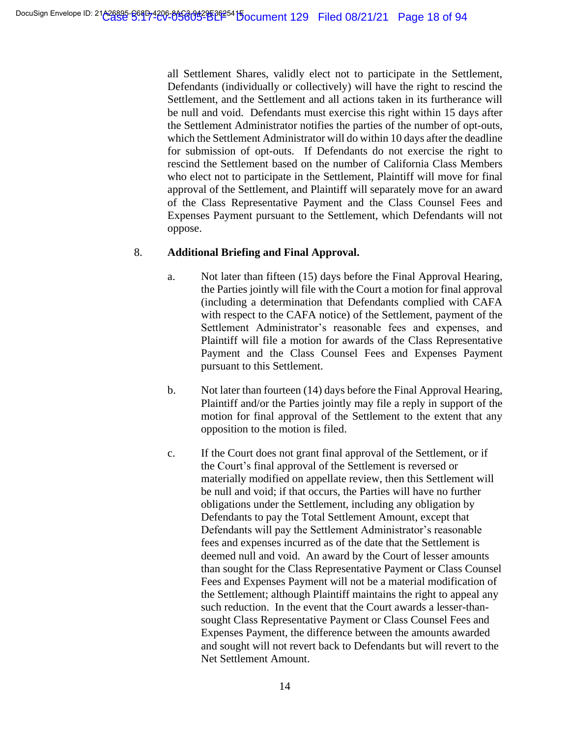all Settlement Shares, validly elect not to participate in the Settlement, Defendants (individually or collectively) will have the right to rescind the Settlement, and the Settlement and all actions taken in its furtherance will be null and void. Defendants must exercise this right within 15 days after the Settlement Administrator notifies the parties of the number of opt-outs, which the Settlement Administrator will do within 10 days after the deadline for submission of opt-outs. If Defendants do not exercise the right to rescind the Settlement based on the number of California Class Members who elect not to participate in the Settlement, Plaintiff will move for final approval of the Settlement, and Plaintiff will separately move for an award of the Class Representative Payment and the Class Counsel Fees and Expenses Payment pursuant to the Settlement, which Defendants will not oppose.

# 8. **Additional Briefing and Final Approval.**

- a. Not later than fifteen (15) days before the Final Approval Hearing, the Parties jointly will file with the Court a motion for final approval (including a determination that Defendants complied with CAFA with respect to the CAFA notice) of the Settlement, payment of the Settlement Administrator's reasonable fees and expenses, and Plaintiff will file a motion for awards of the Class Representative Payment and the Class Counsel Fees and Expenses Payment pursuant to this Settlement.
- b. Not later than fourteen (14) days before the Final Approval Hearing, Plaintiff and/or the Parties jointly may file a reply in support of the motion for final approval of the Settlement to the extent that any opposition to the motion is filed.
- c. If the Court does not grant final approval of the Settlement, or if the Court's final approval of the Settlement is reversed or materially modified on appellate review, then this Settlement will be null and void; if that occurs, the Parties will have no further obligations under the Settlement, including any obligation by Defendants to pay the Total Settlement Amount, except that Defendants will pay the Settlement Administrator's reasonable fees and expenses incurred as of the date that the Settlement is deemed null and void. An award by the Court of lesser amounts than sought for the Class Representative Payment or Class Counsel Fees and Expenses Payment will not be a material modification of the Settlement; although Plaintiff maintains the right to appeal any such reduction. In the event that the Court awards a lesser-thansought Class Representative Payment or Class Counsel Fees and Expenses Payment, the difference between the amounts awarded and sought will not revert back to Defendants but will revert to the Net Settlement Amount.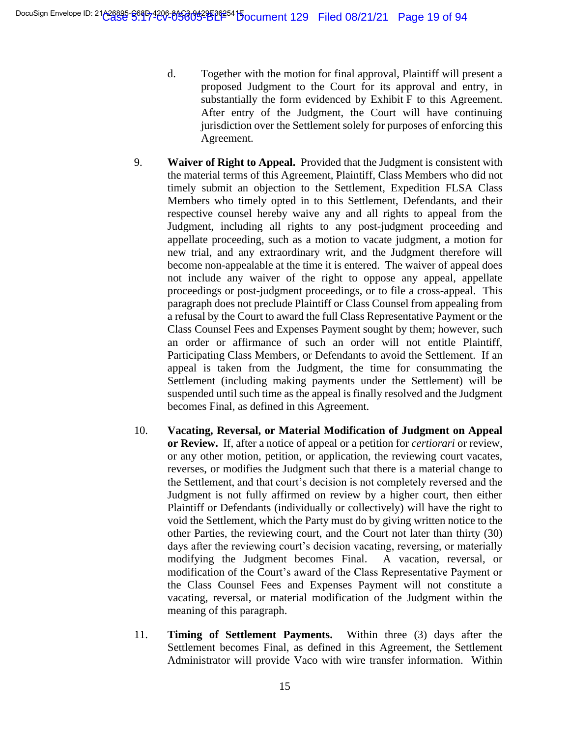- d. Together with the motion for final approval, Plaintiff will present a proposed Judgment to the Court for its approval and entry, in substantially the form evidenced by Exhibit F to this Agreement. After entry of the Judgment, the Court will have continuing jurisdiction over the Settlement solely for purposes of enforcing this Agreement.
- 9. **Waiver of Right to Appeal.** Provided that the Judgment is consistent with the material terms of this Agreement, Plaintiff, Class Members who did not timely submit an objection to the Settlement, Expedition FLSA Class Members who timely opted in to this Settlement, Defendants, and their respective counsel hereby waive any and all rights to appeal from the Judgment, including all rights to any post-judgment proceeding and appellate proceeding, such as a motion to vacate judgment, a motion for new trial, and any extraordinary writ, and the Judgment therefore will become non-appealable at the time it is entered. The waiver of appeal does not include any waiver of the right to oppose any appeal, appellate proceedings or post-judgment proceedings, or to file a cross-appeal. This paragraph does not preclude Plaintiff or Class Counsel from appealing from a refusal by the Court to award the full Class Representative Payment or the Class Counsel Fees and Expenses Payment sought by them; however, such an order or affirmance of such an order will not entitle Plaintiff, Participating Class Members, or Defendants to avoid the Settlement. If an appeal is taken from the Judgment, the time for consummating the Settlement (including making payments under the Settlement) will be suspended until such time as the appeal is finally resolved and the Judgment becomes Final, as defined in this Agreement.
- 10. **Vacating, Reversal, or Material Modification of Judgment on Appeal or Review.** If, after a notice of appeal or a petition for *certiorari* or review, or any other motion, petition, or application, the reviewing court vacates, reverses, or modifies the Judgment such that there is a material change to the Settlement, and that court's decision is not completely reversed and the Judgment is not fully affirmed on review by a higher court, then either Plaintiff or Defendants (individually or collectively) will have the right to void the Settlement, which the Party must do by giving written notice to the other Parties, the reviewing court, and the Court not later than thirty (30) days after the reviewing court's decision vacating, reversing, or materially modifying the Judgment becomes Final. A vacation, reversal, or modification of the Court's award of the Class Representative Payment or the Class Counsel Fees and Expenses Payment will not constitute a vacating, reversal, or material modification of the Judgment within the meaning of this paragraph.
- 11. **Timing of Settlement Payments.** Within three (3) days after the Settlement becomes Final, as defined in this Agreement, the Settlement Administrator will provide Vaco with wire transfer information. Within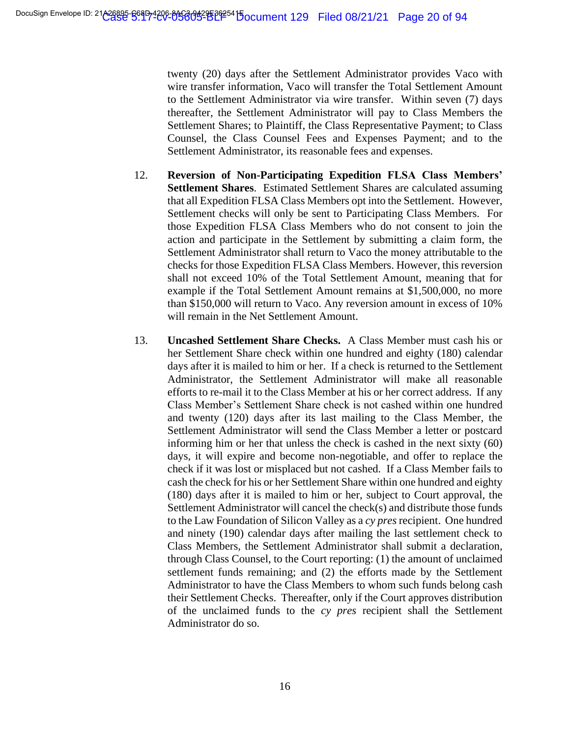twenty (20) days after the Settlement Administrator provides Vaco with wire transfer information, Vaco will transfer the Total Settlement Amount to the Settlement Administrator via wire transfer. Within seven (7) days thereafter, the Settlement Administrator will pay to Class Members the Settlement Shares; to Plaintiff, the Class Representative Payment; to Class Counsel, the Class Counsel Fees and Expenses Payment; and to the Settlement Administrator, its reasonable fees and expenses.

- 12. **Reversion of Non-Participating Expedition FLSA Class Members' Settlement Shares**. Estimated Settlement Shares are calculated assuming that all Expedition FLSA Class Members opt into the Settlement. However, Settlement checks will only be sent to Participating Class Members. For those Expedition FLSA Class Members who do not consent to join the action and participate in the Settlement by submitting a claim form, the Settlement Administrator shall return to Vaco the money attributable to the checks for those Expedition FLSA Class Members. However, this reversion shall not exceed 10% of the Total Settlement Amount, meaning that for example if the Total Settlement Amount remains at \$1,500,000, no more than \$150,000 will return to Vaco. Any reversion amount in excess of 10% will remain in the Net Settlement Amount.
- 13. **Uncashed Settlement Share Checks.** A Class Member must cash his or her Settlement Share check within one hundred and eighty (180) calendar days after it is mailed to him or her. If a check is returned to the Settlement Administrator, the Settlement Administrator will make all reasonable efforts to re-mail it to the Class Member at his or her correct address. If any Class Member's Settlement Share check is not cashed within one hundred and twenty (120) days after its last mailing to the Class Member, the Settlement Administrator will send the Class Member a letter or postcard informing him or her that unless the check is cashed in the next sixty (60) days, it will expire and become non-negotiable, and offer to replace the check if it was lost or misplaced but not cashed. If a Class Member fails to cash the check for his or her Settlement Share within one hundred and eighty (180) days after it is mailed to him or her, subject to Court approval, the Settlement Administrator will cancel the check(s) and distribute those funds to the Law Foundation of Silicon Valley as a *cy pres* recipient. One hundred and ninety (190) calendar days after mailing the last settlement check to Class Members, the Settlement Administrator shall submit a declaration, through Class Counsel, to the Court reporting: (1) the amount of unclaimed settlement funds remaining; and (2) the efforts made by the Settlement Administrator to have the Class Members to whom such funds belong cash their Settlement Checks. Thereafter, only if the Court approves distribution of the unclaimed funds to the *cy pres* recipient shall the Settlement Administrator do so.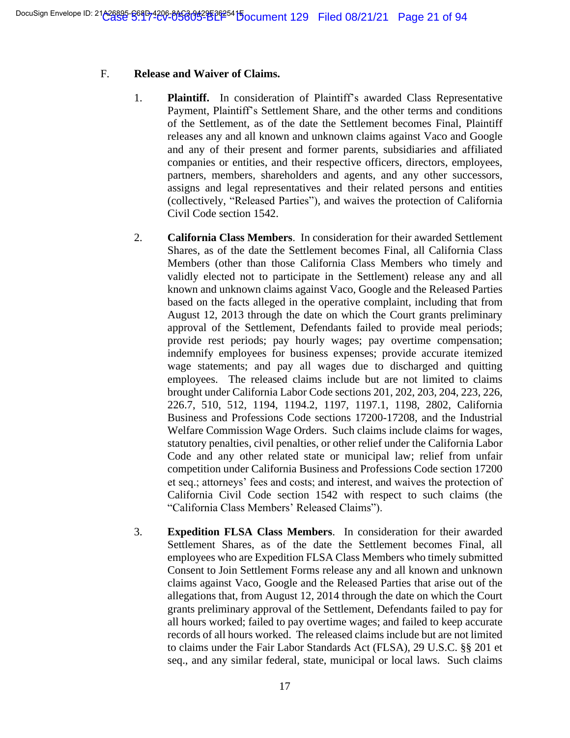# F. **Release and Waiver of Claims.**

- 1. **Plaintiff.** In consideration of Plaintiff's awarded Class Representative Payment, Plaintiff's Settlement Share, and the other terms and conditions of the Settlement, as of the date the Settlement becomes Final, Plaintiff releases any and all known and unknown claims against Vaco and Google and any of their present and former parents, subsidiaries and affiliated companies or entities, and their respective officers, directors, employees, partners, members, shareholders and agents, and any other successors, assigns and legal representatives and their related persons and entities (collectively, "Released Parties"), and waives the protection of California Civil Code section 1542.
- 2. **California Class Members**. In consideration for their awarded Settlement Shares, as of the date the Settlement becomes Final, all California Class Members (other than those California Class Members who timely and validly elected not to participate in the Settlement) release any and all known and unknown claims against Vaco, Google and the Released Parties based on the facts alleged in the operative complaint, including that from August 12, 2013 through the date on which the Court grants preliminary approval of the Settlement, Defendants failed to provide meal periods; provide rest periods; pay hourly wages; pay overtime compensation; indemnify employees for business expenses; provide accurate itemized wage statements; and pay all wages due to discharged and quitting employees. The released claims include but are not limited to claims brought under California Labor Code sections 201, 202, 203, 204, 223, 226, 226.7, 510, 512, 1194, 1194.2, 1197, 1197.1, 1198, 2802, California Business and Professions Code sections 17200-17208, and the Industrial Welfare Commission Wage Orders. Such claims include claims for wages, statutory penalties, civil penalties, or other relief under the California Labor Code and any other related state or municipal law; relief from unfair competition under California Business and Professions Code section 17200 et seq.; attorneys' fees and costs; and interest, and waives the protection of California Civil Code section 1542 with respect to such claims (the "California Class Members' Released Claims").
- 3. **Expedition FLSA Class Members**. In consideration for their awarded Settlement Shares, as of the date the Settlement becomes Final, all employees who are Expedition FLSA Class Members who timely submitted Consent to Join Settlement Forms release any and all known and unknown claims against Vaco, Google and the Released Parties that arise out of the allegations that, from August 12, 2014 through the date on which the Court grants preliminary approval of the Settlement, Defendants failed to pay for all hours worked; failed to pay overtime wages; and failed to keep accurate records of all hours worked. The released claims include but are not limited to claims under the Fair Labor Standards Act (FLSA), 29 U.S.C. §§ 201 et seq., and any similar federal, state, municipal or local laws. Such claims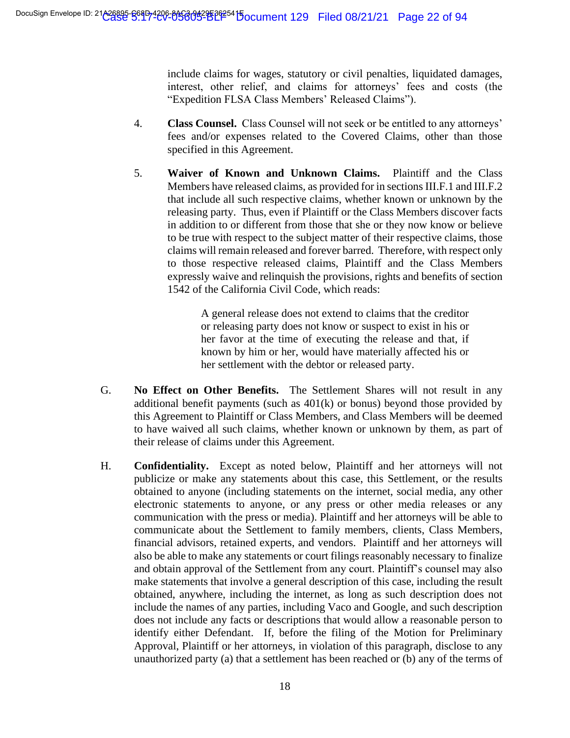include claims for wages, statutory or civil penalties, liquidated damages, interest, other relief, and claims for attorneys' fees and costs (the "Expedition FLSA Class Members' Released Claims").

- 4. **Class Counsel.** Class Counsel will not seek or be entitled to any attorneys' fees and/or expenses related to the Covered Claims, other than those specified in this Agreement.
- 5. **Waiver of Known and Unknown Claims.** Plaintiff and the Class Members have released claims, as provided for in sections III.F.1 and III.F.2 that include all such respective claims, whether known or unknown by the releasing party. Thus, even if Plaintiff or the Class Members discover facts in addition to or different from those that she or they now know or believe to be true with respect to the subject matter of their respective claims, those claims will remain released and forever barred. Therefore, with respect only to those respective released claims, Plaintiff and the Class Members expressly waive and relinquish the provisions, rights and benefits of section 1542 of the California Civil Code, which reads:

A general release does not extend to claims that the creditor or releasing party does not know or suspect to exist in his or her favor at the time of executing the release and that, if known by him or her, would have materially affected his or her settlement with the debtor or released party.

- G. **No Effect on Other Benefits.** The Settlement Shares will not result in any additional benefit payments (such as  $401(k)$  or bonus) beyond those provided by this Agreement to Plaintiff or Class Members, and Class Members will be deemed to have waived all such claims, whether known or unknown by them, as part of their release of claims under this Agreement.
- H. **Confidentiality.** Except as noted below, Plaintiff and her attorneys will not publicize or make any statements about this case, this Settlement, or the results obtained to anyone (including statements on the internet, social media, any other electronic statements to anyone, or any press or other media releases or any communication with the press or media). Plaintiff and her attorneys will be able to communicate about the Settlement to family members, clients, Class Members, financial advisors, retained experts, and vendors. Plaintiff and her attorneys will also be able to make any statements or court filings reasonably necessary to finalize and obtain approval of the Settlement from any court. Plaintiff's counsel may also make statements that involve a general description of this case, including the result obtained, anywhere, including the internet, as long as such description does not include the names of any parties, including Vaco and Google, and such description does not include any facts or descriptions that would allow a reasonable person to identify either Defendant. If, before the filing of the Motion for Preliminary Approval, Plaintiff or her attorneys, in violation of this paragraph, disclose to any unauthorized party (a) that a settlement has been reached or (b) any of the terms of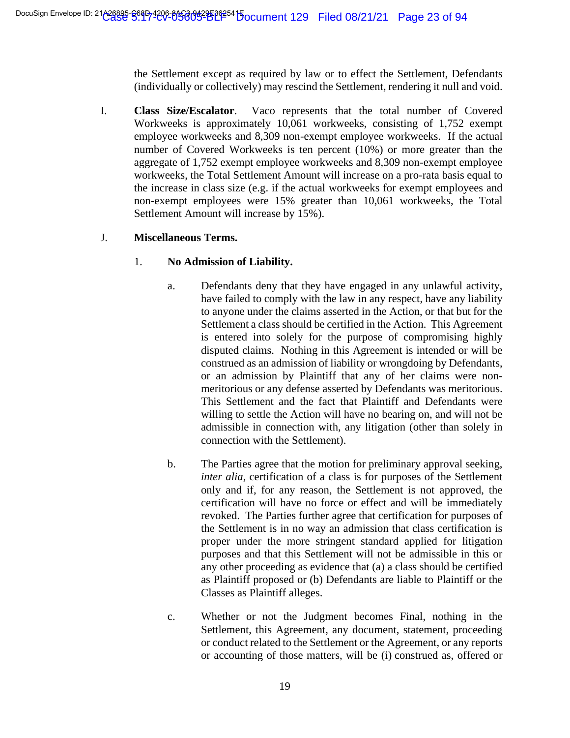the Settlement except as required by law or to effect the Settlement, Defendants (individually or collectively) may rescind the Settlement, rendering it null and void.

I. **Class Size/Escalator**. Vaco represents that the total number of Covered Workweeks is approximately 10,061 workweeks, consisting of 1,752 exempt employee workweeks and 8,309 non-exempt employee workweeks. If the actual number of Covered Workweeks is ten percent (10%) or more greater than the aggregate of 1,752 exempt employee workweeks and 8,309 non-exempt employee workweeks, the Total Settlement Amount will increase on a pro-rata basis equal to the increase in class size (e.g. if the actual workweeks for exempt employees and non-exempt employees were 15% greater than 10,061 workweeks, the Total Settlement Amount will increase by 15%).

# J. **Miscellaneous Terms.**

# 1. **No Admission of Liability.**

- a. Defendants deny that they have engaged in any unlawful activity, have failed to comply with the law in any respect, have any liability to anyone under the claims asserted in the Action, or that but for the Settlement a class should be certified in the Action. This Agreement is entered into solely for the purpose of compromising highly disputed claims. Nothing in this Agreement is intended or will be construed as an admission of liability or wrongdoing by Defendants, or an admission by Plaintiff that any of her claims were nonmeritorious or any defense asserted by Defendants was meritorious. This Settlement and the fact that Plaintiff and Defendants were willing to settle the Action will have no bearing on, and will not be admissible in connection with, any litigation (other than solely in connection with the Settlement).
- b. The Parties agree that the motion for preliminary approval seeking, *inter alia*, certification of a class is for purposes of the Settlement only and if, for any reason, the Settlement is not approved, the certification will have no force or effect and will be immediately revoked. The Parties further agree that certification for purposes of the Settlement is in no way an admission that class certification is proper under the more stringent standard applied for litigation purposes and that this Settlement will not be admissible in this or any other proceeding as evidence that (a) a class should be certified as Plaintiff proposed or (b) Defendants are liable to Plaintiff or the Classes as Plaintiff alleges.
- c. Whether or not the Judgment becomes Final, nothing in the Settlement, this Agreement, any document, statement, proceeding or conduct related to the Settlement or the Agreement, or any reports or accounting of those matters, will be (i) construed as, offered or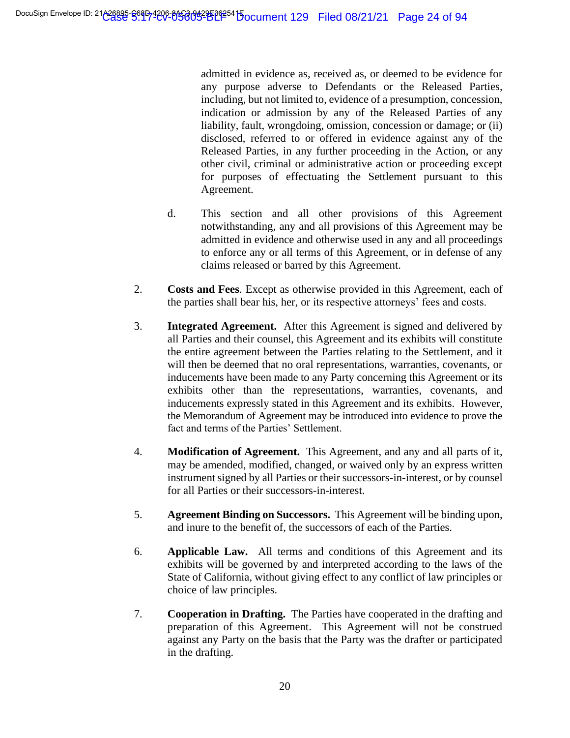admitted in evidence as, received as, or deemed to be evidence for any purpose adverse to Defendants or the Released Parties, including, but not limited to, evidence of a presumption, concession, indication or admission by any of the Released Parties of any liability, fault, wrongdoing, omission, concession or damage; or (ii) disclosed, referred to or offered in evidence against any of the Released Parties, in any further proceeding in the Action, or any other civil, criminal or administrative action or proceeding except for purposes of effectuating the Settlement pursuant to this Agreement.

- d. This section and all other provisions of this Agreement notwithstanding, any and all provisions of this Agreement may be admitted in evidence and otherwise used in any and all proceedings to enforce any or all terms of this Agreement, or in defense of any claims released or barred by this Agreement.
- 2. **Costs and Fees**. Except as otherwise provided in this Agreement, each of the parties shall bear his, her, or its respective attorneys' fees and costs.
- 3. **Integrated Agreement.** After this Agreement is signed and delivered by all Parties and their counsel, this Agreement and its exhibits will constitute the entire agreement between the Parties relating to the Settlement, and it will then be deemed that no oral representations, warranties, covenants, or inducements have been made to any Party concerning this Agreement or its exhibits other than the representations, warranties, covenants, and inducements expressly stated in this Agreement and its exhibits. However, the Memorandum of Agreement may be introduced into evidence to prove the fact and terms of the Parties' Settlement.
- 4. **Modification of Agreement.** This Agreement, and any and all parts of it, may be amended, modified, changed, or waived only by an express written instrument signed by all Parties or their successors-in-interest, or by counsel for all Parties or their successors-in-interest.
- 5. **Agreement Binding on Successors.** This Agreement will be binding upon, and inure to the benefit of, the successors of each of the Parties.
- 6. **Applicable Law.** All terms and conditions of this Agreement and its exhibits will be governed by and interpreted according to the laws of the State of California, without giving effect to any conflict of law principles or choice of law principles.
- 7. **Cooperation in Drafting.** The Parties have cooperated in the drafting and preparation of this Agreement. This Agreement will not be construed against any Party on the basis that the Party was the drafter or participated in the drafting.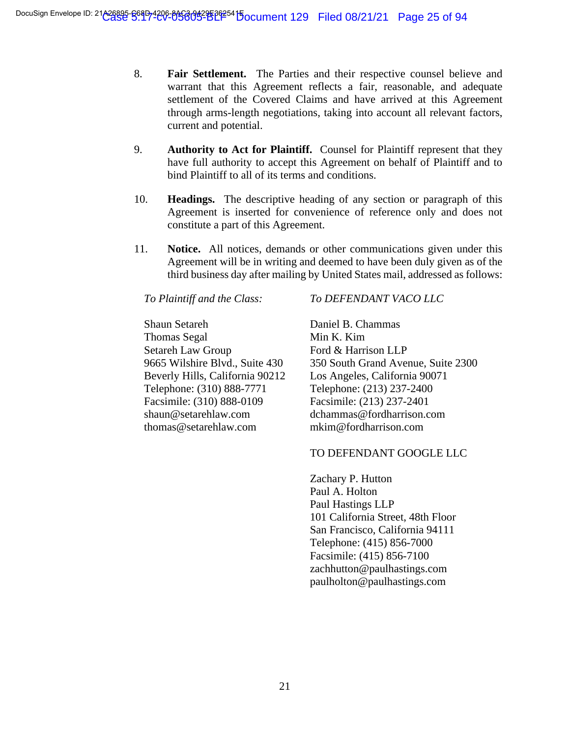- 8. **Fair Settlement.** The Parties and their respective counsel believe and warrant that this Agreement reflects a fair, reasonable, and adequate settlement of the Covered Claims and have arrived at this Agreement through arms-length negotiations, taking into account all relevant factors, current and potential.
- 9. **Authority to Act for Plaintiff.** Counsel for Plaintiff represent that they have full authority to accept this Agreement on behalf of Plaintiff and to bind Plaintiff to all of its terms and conditions.
- 10. **Headings.** The descriptive heading of any section or paragraph of this Agreement is inserted for convenience of reference only and does not constitute a part of this Agreement.
- 11. **Notice.** All notices, demands or other communications given under this Agreement will be in writing and deemed to have been duly given as of the third business day after mailing by United States mail, addressed as follows:

*To Plaintiff and the Class:*

Shaun Setareh Thomas Segal Setareh Law Group 9665 Wilshire Blvd., Suite 430 Beverly Hills, California 90212 Telephone: (310) 888-7771 Facsimile: (310) 888-0109 shaun@setarehlaw.com thomas@setarehlaw.com

#### *To DEFENDANT VACO LLC*

Daniel B. Chammas Min K. Kim Ford & Harrison LLP 350 South Grand Avenue, Suite 2300 Los Angeles, California 90071 Telephone: (213) 237-2400 Facsimile: (213) 237-2401 dchammas@fordharrison.com mkim@fordharrison.com

#### TO DEFENDANT GOOGLE LLC

Zachary P. Hutton Paul A. Holton Paul Hastings LLP 101 California Street, 48th Floor San Francisco, California 94111 Telephone: (415) 856-7000 Facsimile: (415) 856-7100 zachhutton@paulhastings.com paulholton@paulhastings.com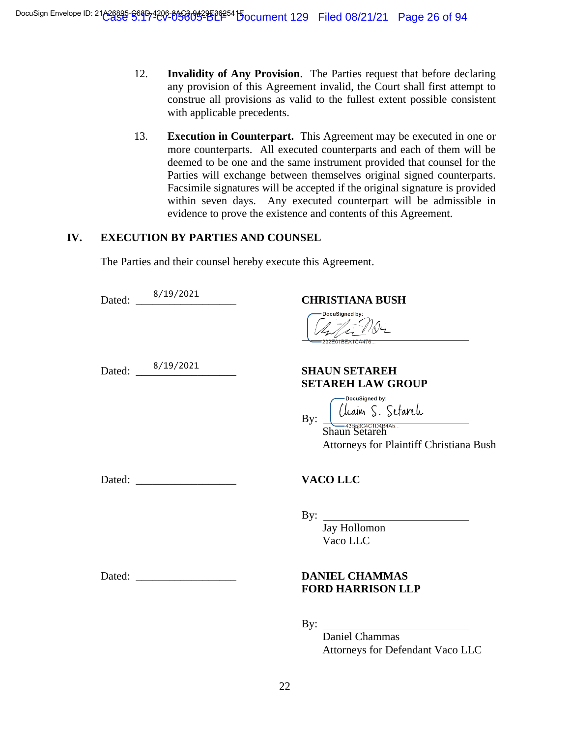- 12. **Invalidity of Any Provision**. The Parties request that before declaring any provision of this Agreement invalid, the Court shall first attempt to construe all provisions as valid to the fullest extent possible consistent with applicable precedents.
- 13. **Execution in Counterpart.** This Agreement may be executed in one or more counterparts. All executed counterparts and each of them will be deemed to be one and the same instrument provided that counsel for the Parties will exchange between themselves original signed counterparts. Facsimile signatures will be accepted if the original signature is provided within seven days. Any executed counterpart will be admissible in evidence to prove the existence and contents of this Agreement.

# **IV. EXECUTION BY PARTIES AND COUNSEL**

The Parties and their counsel hereby execute this Agreement.

|  | Dated: 8/19/2021 | <b>CHRISTIANA BUSH</b><br>DocuSigned by:<br>$4\pi$<br>2F01BFA1CA47                                                                                           |
|--|------------------|--------------------------------------------------------------------------------------------------------------------------------------------------------------|
|  | Dated: 8/19/2021 | <b>SHAUN SETAREH</b><br><b>SETAREH LAW GROUP</b><br>-DocuSigned by:<br>Cliain S. Setareli<br>Shaun Setaren<br>By:<br>Attorneys for Plaintiff Christiana Bush |
|  |                  | <b>VACO LLC</b>                                                                                                                                              |
|  |                  | Jay Hollomon<br>Vaco LLC                                                                                                                                     |
|  |                  | <b>DANIEL CHAMMAS</b><br><b>FORD HARRISON LLP</b>                                                                                                            |
|  |                  | By: Daniel Chammas<br>Attorneys for Defendant Vaco LLC                                                                                                       |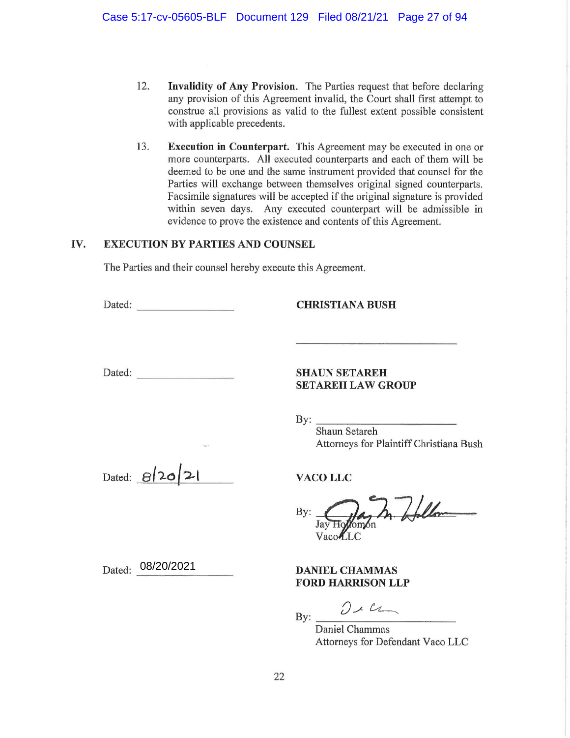- $12.$ Invalidity of Any Provision. The Parties request that before declaring any provision of this Agreement invalid, the Court shall first attempt to construe all provisions as valid to the fullest extent possible consistent with applicable precedents.
- 13. **Execution in Counterpart.** This Agreement may be executed in one or more counterparts. All executed counterparts and each of them will be deemed to be one and the same instrument provided that counsel for the Parties will exchange between themselves original signed counterparts. Facsimile signatures will be accepted if the original signature is provided within seven days. Any executed counterpart will be admissible in evidence to prove the existence and contents of this Agreement.

#### IV. **EXECUTION BY PARTIES AND COUNSEL**

The Parties and their counsel hereby execute this Agreement.

Dated:

**CHRISTIANA BUSH** 

Dated:

#### **SHAUN SETAREH SETAREH LAW GROUP**

By:  $\qquad \qquad$ 

Shaun Setareh Attorneys for Plaintiff Christiana Bush

Dated: 8/20/21

In follow By: Jay Hq **Zomon** 

VacoLLC

**VACO LLC** 

**DANIEL CHAMMAS FORD HARRISON LLP** 

 $012$ 

Daniel Chammas Attorneys for Defendant Vaco LLC

Dated: 08/20/2021

 $By:$